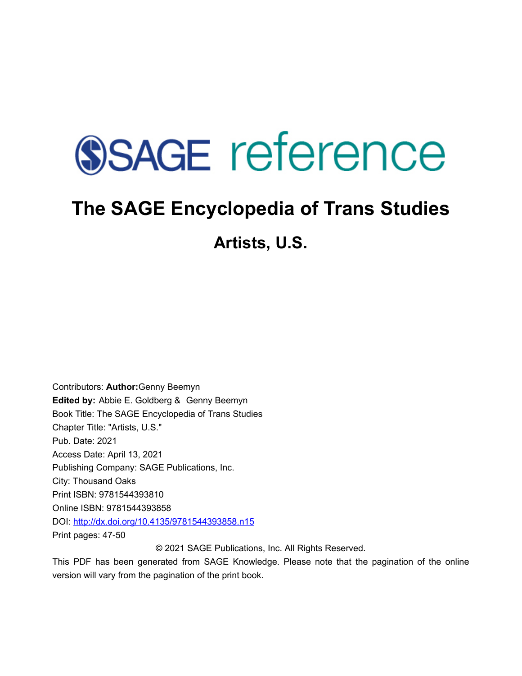# **SSAGE reference**

# **The SAGE Encyclopedia of Trans Studies**

**Artists, U.S.** 

Contributors: **Author:**Genny Beemyn **Edited by:** [Abbie E. Goldberg](javascript:void(0);) & [Genny Beemyn](javascript:void(0);)  Book Title: The SAGE Encyclopedia of Trans Studies Chapter Title: "Artists, U.S." Pub. Date: 2021 Access Date: April 13, 2021 Publishing Company: SAGE Publications, Inc. City: Thousand Oaks Print ISBN: 9781544393810 Online ISBN: 9781544393858 DOI: <http://dx.doi.org/10.4135/9781544393858.n15> Print pages: 47-50

© 2021 SAGE Publications, Inc. All Rights Reserved.

This PDF has been generated from SAGE Knowledge. Please note that the pagination of the online version will vary from the pagination of the print book.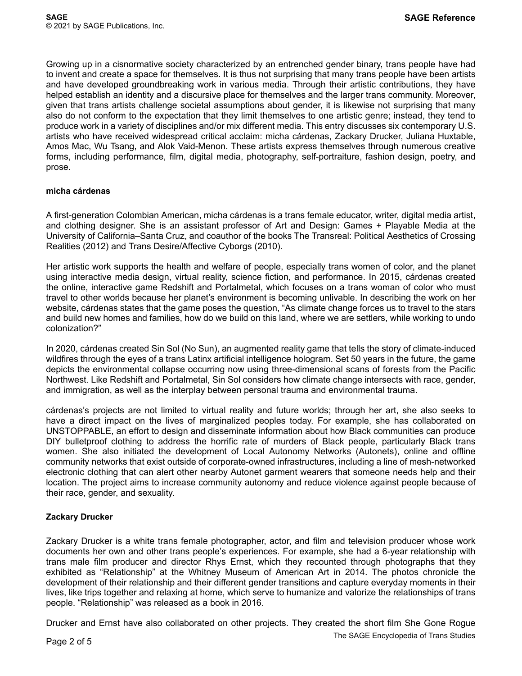Growing up in a cisnormative society characterized by an entrenched gender binary, trans people have had to invent and create a space for themselves. It is thus not surprising that many trans people have been artists and have developed groundbreaking work in various media. Through their artistic contributions, they have helped establish an identity and a discursive place for themselves and the larger trans community. Moreover, given that trans artists challenge societal assumptions about gender, it is likewise not surprising that many also do not conform to the expectation that they limit themselves to one artistic genre; instead, they tend to produce work in a variety of disciplines and/or mix different media. This entry discusses six contemporary U.S. artists who have received widespread critical acclaim: micha cárdenas, Zackary Drucker, Juliana Huxtable, Amos Mac, Wu Tsang, and Alok Vaid-Menon. These artists express themselves through numerous creative forms, including performance, film, digital media, photography, self-portraiture, fashion design, poetry, and prose.

## **micha cárdenas**

A first-generation Colombian American, micha cárdenas is a trans female educator, writer, digital media artist, and clothing designer. She is an assistant professor of Art and Design: Games + Playable Media at the University of California–Santa Cruz, and coauthor of the books The Transreal: Political Aesthetics of Crossing Realities (2012) and Trans Desire/Affective Cyborgs (2010).

Her artistic work supports the health and welfare of people, especially trans women of color, and the planet using interactive media design, virtual reality, science fiction, and performance. In 2015, cárdenas created the online, interactive game Redshift and Portalmetal, which focuses on a trans woman of color who must travel to other worlds because her planet's environment is becoming unlivable. In describing the work on her website, cárdenas states that the game poses the question, "As climate change forces us to travel to the stars and build new homes and families, how do we build on this land, where we are settlers, while working to undo colonization?"

In 2020, cárdenas created Sin Sol (No Sun), an augmented reality game that tells the story of climate-induced wildfires through the eyes of a trans Latinx artificial intelligence hologram. Set 50 years in the future, the game depicts the environmental collapse occurring now using three-dimensional scans of forests from the Pacific Northwest. Like Redshift and Portalmetal, Sin Sol considers how climate change intersects with race, gender, and immigration, as well as the interplay between personal trauma and environmental trauma.

cárdenas's projects are not limited to virtual reality and future worlds; through her art, she also seeks to have a direct impact on the lives of marginalized peoples today. For example, she has collaborated on UNSTOPPABLE, an effort to design and disseminate information about how Black communities can produce DIY bulletproof clothing to address the horrific rate of murders of Black people, particularly Black trans women. She also initiated the development of Local Autonomy Networks (Autonets), online and offline community networks that exist outside of corporate-owned infrastructures, including a line of mesh-networked electronic clothing that can alert other nearby Autonet garment wearers that someone needs help and their location. The project aims to increase community autonomy and reduce violence against people because of their race, gender, and sexuality.

## **Zackary Drucker**

Zackary Drucker is a white trans female photographer, actor, and film and television producer whose work documents her own and other trans people's experiences. For example, she had a 6-year relationship with trans male film producer and director Rhys Ernst, which they recounted through photographs that they exhibited as "Relationship" at the Whitney Museum of American Art in 2014. The photos chronicle the development of their relationship and their different gender transitions and capture everyday moments in their lives, like trips together and relaxing at home, which serve to humanize and valorize the relationships of trans people. "Relationship" was released as a book in 2016.

Drucker and Ernst have also collaborated on other projects. They created the short film She Gone Rogue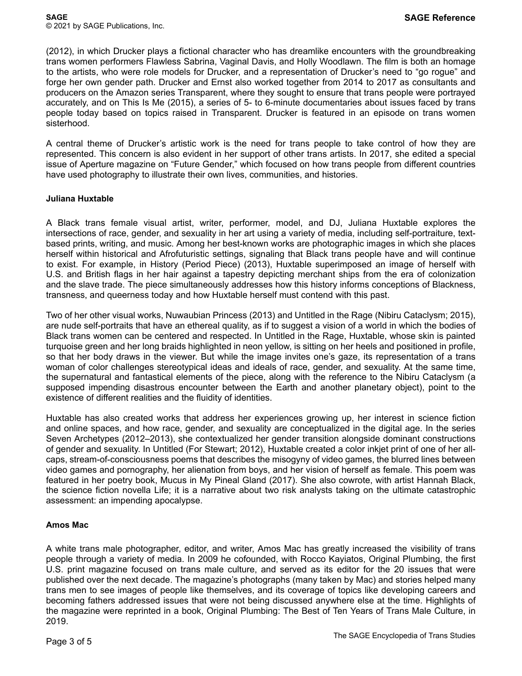(2012), in which Drucker plays a fictional character who has dreamlike encounters with the groundbreaking trans women performers Flawless Sabrina, Vaginal Davis, and Holly Woodlawn. The film is both an homage to the artists, who were role models for Drucker, and a representation of Drucker's need to "go rogue" and forge her own gender path. Drucker and Ernst also worked together from 2014 to 2017 as consultants and producers on the Amazon series Transparent, where they sought to ensure that trans people were portrayed accurately, and on This Is Me (2015), a series of 5- to 6-minute documentaries about issues faced by trans people today based on topics raised in Transparent. Drucker is featured in an episode on trans women sisterhood.

A central theme of Drucker's artistic work is the need for trans people to take control of how they are represented. This concern is also evident in her support of other trans artists. In 2017, she edited a special issue of Aperture magazine on "Future Gender," which focused on how trans people from different countries have used photography to illustrate their own lives, communities, and histories.

## **Juliana Huxtable**

A Black trans female visual artist, writer, performer, model, and DJ, Juliana Huxtable explores the intersections of race, gender, and sexuality in her art using a variety of media, including self-portraiture, textbased prints, writing, and music. Among her best-known works are photographic images in which she places herself within historical and Afrofuturistic settings, signaling that Black trans people have and will continue to exist. For example, in History (Period Piece) (2013), Huxtable superimposed an image of herself with U.S. and British flags in her hair against a tapestry depicting merchant ships from the era of colonization and the slave trade. The piece simultaneously addresses how this history informs conceptions of Blackness, transness, and queerness today and how Huxtable herself must contend with this past.

Two of her other visual works, Nuwaubian Princess (2013) and Untitled in the Rage (Nibiru Cataclysm; 2015), are nude self-portraits that have an ethereal quality, as if to suggest a vision of a world in which the bodies of Black trans women can be centered and respected. In Untitled in the Rage, Huxtable, whose skin is painted turquoise green and her long braids highlighted in neon yellow, is sitting on her heels and positioned in profile, so that her body draws in the viewer. But while the image invites one's gaze, its representation of a trans woman of color challenges stereotypical ideas and ideals of race, gender, and sexuality. At the same time, the supernatural and fantastical elements of the piece, along with the reference to the Nibiru Cataclysm (a supposed impending disastrous encounter between the Earth and another planetary object), point to the existence of different realities and the fluidity of identities.

Huxtable has also created works that address her experiences growing up, her interest in science fiction and online spaces, and how race, gender, and sexuality are conceptualized in the digital age. In the series Seven Archetypes (2012–2013), she contextualized her gender transition alongside dominant constructions of gender and sexuality. In Untitled (For Stewart; 2012), Huxtable created a color inkjet print of one of her allcaps, stream-of-consciousness poems that describes the misogyny of video games, the blurred lines between video games and pornography, her alienation from boys, and her vision of herself as female. This poem was featured in her poetry book, Mucus in My Pineal Gland (2017). She also cowrote, with artist Hannah Black, the science fiction novella Life; it is a narrative about two risk analysts taking on the ultimate catastrophic assessment: an impending apocalypse.

## **Amos Mac**

A white trans male photographer, editor, and writer, Amos Mac has greatly increased the visibility of trans people through a variety of media. In 2009 he cofounded, with Rocco Kayiatos, Original Plumbing, the first U.S. print magazine focused on trans male culture, and served as its editor for the 20 issues that were published over the next decade. The magazine's photographs (many taken by Mac) and stories helped many trans men to see images of people like themselves, and its coverage of topics like developing careers and becoming fathers addressed issues that were not being discussed anywhere else at the time. Highlights of the magazine were reprinted in a book, Original Plumbing: The Best of Ten Years of Trans Male Culture, in 2019.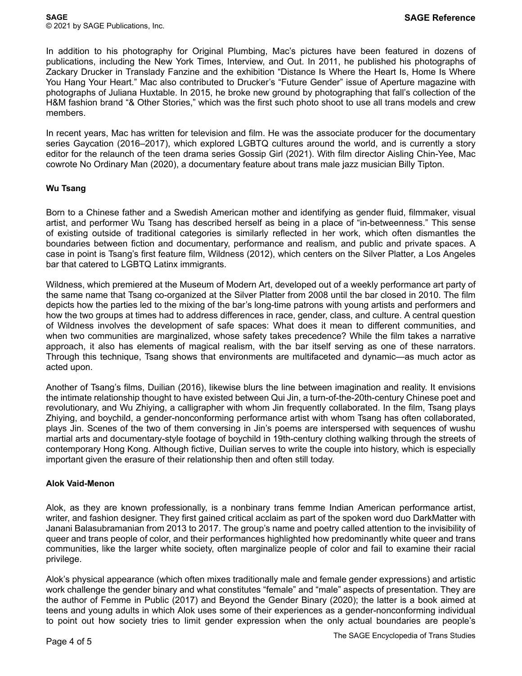In addition to his photography for Original Plumbing, Mac's pictures have been featured in dozens of publications, including the New York Times, Interview, and Out. In 2011, he published his photographs of Zackary Drucker in Translady Fanzine and the exhibition "Distance Is Where the Heart Is, Home Is Where You Hang Your Heart." Mac also contributed to Drucker's "Future Gender" issue of Aperture magazine with photographs of Juliana Huxtable. In 2015, he broke new ground by photographing that fall's collection of the H&M fashion brand "& Other Stories," which was the first such photo shoot to use all trans models and crew members.

In recent years, Mac has written for television and film. He was the associate producer for the documentary series Gaycation (2016–2017), which explored LGBTQ cultures around the world, and is currently a story editor for the relaunch of the teen drama series Gossip Girl (2021). With film director Aisling Chin-Yee, Mac cowrote No Ordinary Man (2020), a documentary feature about trans male jazz musician Billy Tipton.

## **Wu Tsang**

Born to a Chinese father and a Swedish American mother and identifying as gender fluid, filmmaker, visual artist, and performer Wu Tsang has described herself as being in a place of "in-betweenness." This sense of existing outside of traditional categories is similarly reflected in her work, which often dismantles the boundaries between fiction and documentary, performance and realism, and public and private spaces. A case in point is Tsang's first feature film, Wildness (2012), which centers on the Silver Platter, a Los Angeles bar that catered to LGBTQ Latinx immigrants.

Wildness, which premiered at the Museum of Modern Art, developed out of a weekly performance art party of the same name that Tsang co-organized at the Silver Platter from 2008 until the bar closed in 2010. The film depicts how the parties led to the mixing of the bar's long-time patrons with young artists and performers and how the two groups at times had to address differences in race, gender, class, and culture. A central question of Wildness involves the development of safe spaces: What does it mean to different communities, and when two communities are marginalized, whose safety takes precedence? While the film takes a narrative approach, it also has elements of magical realism, with the bar itself serving as one of these narrators. Through this technique, Tsang shows that environments are multifaceted and dynamic—as much actor as acted upon.

Another of Tsang's films, Duilian (2016), likewise blurs the line between imagination and reality. It envisions the intimate relationship thought to have existed between Qui Jin, a turn-of-the-20th-century Chinese poet and revolutionary, and Wu Zhiying, a calligrapher with whom Jin frequently collaborated. In the film, Tsang plays Zhiying, and boychild, a gender-nonconforming performance artist with whom Tsang has often collaborated, plays Jin. Scenes of the two of them conversing in Jin's poems are interspersed with sequences of wushu martial arts and documentary-style footage of boychild in 19th-century clothing walking through the streets of contemporary Hong Kong. Although fictive, Duilian serves to write the couple into history, which is especially important given the erasure of their relationship then and often still today.

#### **Alok Vaid-Menon**

Alok, as they are known professionally, is a nonbinary trans femme Indian American performance artist, writer, and fashion designer. They first gained critical acclaim as part of the spoken word duo DarkMatter with Janani Balasubramanian from 2013 to 2017. The group's name and poetry called attention to the invisibility of queer and trans people of color, and their performances highlighted how predominantly white queer and trans communities, like the larger white society, often marginalize people of color and fail to examine their racial privilege.

Alok's physical appearance (which often mixes traditionally male and female gender expressions) and artistic work challenge the gender binary and what constitutes "female" and "male" aspects of presentation. They are the author of Femme in Public (2017) and Beyond the Gender Binary (2020); the latter is a book aimed at teens and young adults in which Alok uses some of their experiences as a gender-nonconforming individual to point out how society tries to limit gender expression when the only actual boundaries are people's